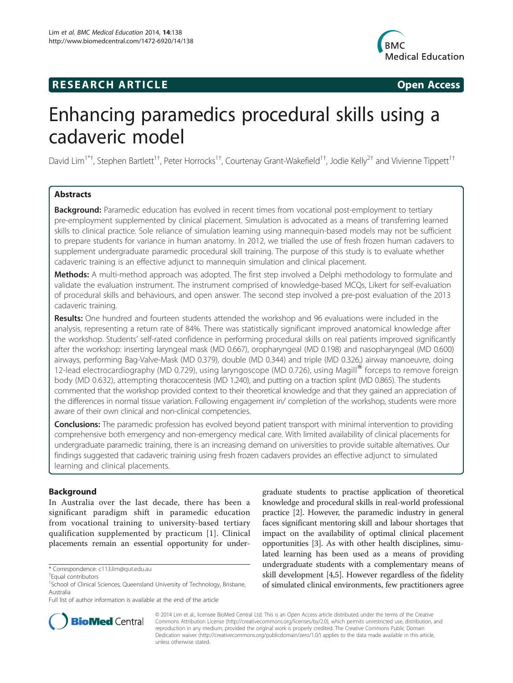# **RESEARCH ARTICLE Example 2014 12:30 The SEAR CHA RTICLE**



# Enhancing paramedics procedural skills using a cadaveric model

David Lim<sup>1\*†</sup>, Stephen Bartlett<sup>1†</sup>, Peter Horrocks<sup>1†</sup>, Courtenay Grant-Wakefield<sup>1†</sup>, Jodie Kelly<sup>2†</sup> and Vivienne Tippett<sup>1†</sup>

# Abstracts

**Background:** Paramedic education has evolved in recent times from vocational post-employment to tertiary pre-employment supplemented by clinical placement. Simulation is advocated as a means of transferring learned skills to clinical practice. Sole reliance of simulation learning using mannequin-based models may not be sufficient to prepare students for variance in human anatomy. In 2012, we trialled the use of fresh frozen human cadavers to supplement undergraduate paramedic procedural skill training. The purpose of this study is to evaluate whether cadaveric training is an effective adjunct to mannequin simulation and clinical placement.

Methods: A multi-method approach was adopted. The first step involved a Delphi methodology to formulate and validate the evaluation instrument. The instrument comprised of knowledge-based MCQs, Likert for self-evaluation of procedural skills and behaviours, and open answer. The second step involved a pre-post evaluation of the 2013 cadaveric training.

Results: One hundred and fourteen students attended the workshop and 96 evaluations were included in the analysis, representing a return rate of 84%. There was statistically significant improved anatomical knowledge after the workshop. Students' self-rated confidence in performing procedural skills on real patients improved significantly after the workshop: inserting laryngeal mask (MD 0.667), oropharyngeal (MD 0.198) and nasopharyngeal (MD 0.600) airways, performing Bag-Valve-Mask (MD 0.379), double (MD 0.344) and triple (MD 0.326,) airway manoeuvre, doing 12-lead electrocardiography (MD 0.729), using laryngoscope (MD 0.726), using Magill® forceps to remove foreign body (MD 0.632), attempting thoracocentesis (MD 1.240), and putting on a traction splint (MD 0.865). The students commented that the workshop provided context to their theoretical knowledge and that they gained an appreciation of the differences in normal tissue variation. Following engagement in/ completion of the workshop, students were more aware of their own clinical and non-clinical competencies.

**Conclusions:** The paramedic profession has evolved beyond patient transport with minimal intervention to providing comprehensive both emergency and non-emergency medical care. With limited availability of clinical placements for undergraduate paramedic training, there is an increasing demand on universities to provide suitable alternatives. Our findings suggested that cadaveric training using fresh frozen cadavers provides an effective adjunct to simulated learning and clinical placements.

# Background

In Australia over the last decade, there has been a significant paradigm shift in paramedic education from vocational training to university-based tertiary qualification supplemented by practicum [[1](#page-6-0)]. Clinical placements remain an essential opportunity for under-

graduate students to practise application of theoretical knowledge and procedural skills in real-world professional practice [\[2](#page-6-0)]. However, the paramedic industry in general faces significant mentoring skill and labour shortages that impact on the availability of optimal clinical placement opportunities [\[3](#page-6-0)]. As with other health disciplines, simulated learning has been used as a means of providing undergraduate students with a complementary means of skill development [\[4,5\]](#page-6-0). However regardless of the fidelity of simulated clinical environments, few practitioners agree



© 2014 Lim et al.; licensee BioMed Central Ltd. This is an Open Access article distributed under the terms of the Creative Commons Attribution License [\(http://creativecommons.org/licenses/by/2.0\)](http://creativecommons.org/licenses/by/2.0), which permits unrestricted use, distribution, and reproduction in any medium, provided the original work is properly credited. The Creative Commons Public Domain Dedication waiver [\(http://creativecommons.org/publicdomain/zero/1.0/](http://creativecommons.org/publicdomain/zero/1.0/)) applies to the data made available in this article, unless otherwise stated.

<sup>\*</sup> Correspondence: [c113.lim@qut.edu.au](mailto:c113.lim@qut.edu.au) †

Equal contributors

<sup>&</sup>lt;sup>1</sup>School of Clinical Sciences, Queensland University of Technology, Brisbane, Australia

Full list of author information is available at the end of the article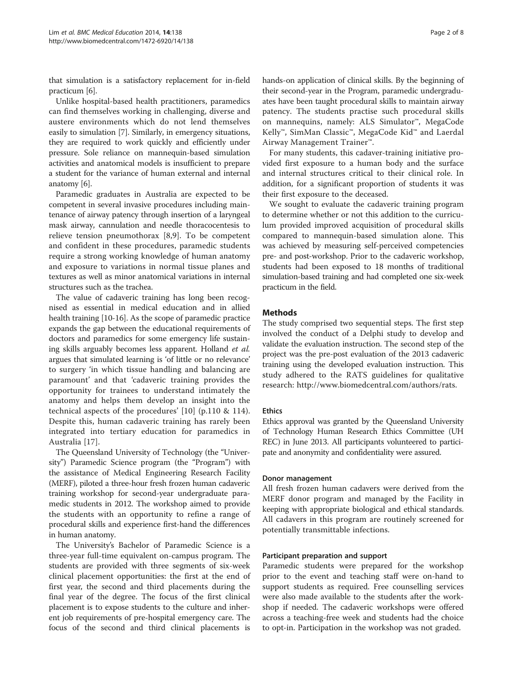that simulation is a satisfactory replacement for in-field practicum [[6\]](#page-6-0).

Unlike hospital-based health practitioners, paramedics can find themselves working in challenging, diverse and austere environments which do not lend themselves easily to simulation [\[7](#page-6-0)]. Similarly, in emergency situations, they are required to work quickly and efficiently under pressure. Sole reliance on mannequin-based simulation activities and anatomical models is insufficient to prepare a student for the variance of human external and internal anatomy [[6\]](#page-6-0).

Paramedic graduates in Australia are expected to be competent in several invasive procedures including maintenance of airway patency through insertion of a laryngeal mask airway, cannulation and needle thoracocentesis to relieve tension pneumothorax [[8,9](#page-6-0)]. To be competent and confident in these procedures, paramedic students require a strong working knowledge of human anatomy and exposure to variations in normal tissue planes and textures as well as minor anatomical variations in internal structures such as the trachea.

The value of cadaveric training has long been recognised as essential in medical education and in allied health training [[10](#page-6-0)-[16](#page-6-0)]. As the scope of paramedic practice expands the gap between the educational requirements of doctors and paramedics for some emergency life sustaining skills arguably becomes less apparent. Holland et al. argues that simulated learning is 'of little or no relevance' to surgery 'in which tissue handling and balancing are paramount' and that 'cadaveric training provides the opportunity for trainees to understand intimately the anatomy and helps them develop an insight into the technical aspects of the procedures' [[10\]](#page-6-0) (p.110 & 114). Despite this, human cadaveric training has rarely been integrated into tertiary education for paramedics in Australia [[17](#page-6-0)].

The Queensland University of Technology (the "University") Paramedic Science program (the "Program") with the assistance of Medical Engineering Research Facility (MERF), piloted a three-hour fresh frozen human cadaveric training workshop for second-year undergraduate paramedic students in 2012. The workshop aimed to provide the students with an opportunity to refine a range of procedural skills and experience first-hand the differences in human anatomy.

The University's Bachelor of Paramedic Science is a three-year full-time equivalent on-campus program. The students are provided with three segments of six-week clinical placement opportunities: the first at the end of first year, the second and third placements during the final year of the degree. The focus of the first clinical placement is to expose students to the culture and inherent job requirements of pre-hospital emergency care. The focus of the second and third clinical placements is hands-on application of clinical skills. By the beginning of their second-year in the Program, paramedic undergraduates have been taught procedural skills to maintain airway patency. The students practise such procedural skills on mannequins, namely: ALS Simulator™, MegaCode Kelly™, SimMan Classic™, MegaCode Kid™ and Laerdal Airway Management Trainer™.

For many students, this cadaver-training initiative provided first exposure to a human body and the surface and internal structures critical to their clinical role. In addition, for a significant proportion of students it was their first exposure to the deceased.

We sought to evaluate the cadaveric training program to determine whether or not this addition to the curriculum provided improved acquisition of procedural skills compared to mannequin-based simulation alone. This was achieved by measuring self-perceived competencies pre- and post-workshop. Prior to the cadaveric workshop, students had been exposed to 18 months of traditional simulation-based training and had completed one six-week practicum in the field.

# **Methods**

The study comprised two sequential steps. The first step involved the conduct of a Delphi study to develop and validate the evaluation instruction. The second step of the project was the pre-post evaluation of the 2013 cadaveric training using the developed evaluation instruction. This study adhered to the RATS guidelines for qualitative research: [http://www.biomedcentral.com/authors/rats.](http://www.biomedcentral.com/authors/rats)

# Ethics

Ethics approval was granted by the Queensland University of Technology Human Research Ethics Committee (UH REC) in June 2013. All participants volunteered to participate and anonymity and confidentiality were assured.

#### Donor management

All fresh frozen human cadavers were derived from the MERF donor program and managed by the Facility in keeping with appropriate biological and ethical standards. All cadavers in this program are routinely screened for potentially transmittable infections.

#### Participant preparation and support

Paramedic students were prepared for the workshop prior to the event and teaching staff were on-hand to support students as required. Free counselling services were also made available to the students after the workshop if needed. The cadaveric workshops were offered across a teaching-free week and students had the choice to opt-in. Participation in the workshop was not graded.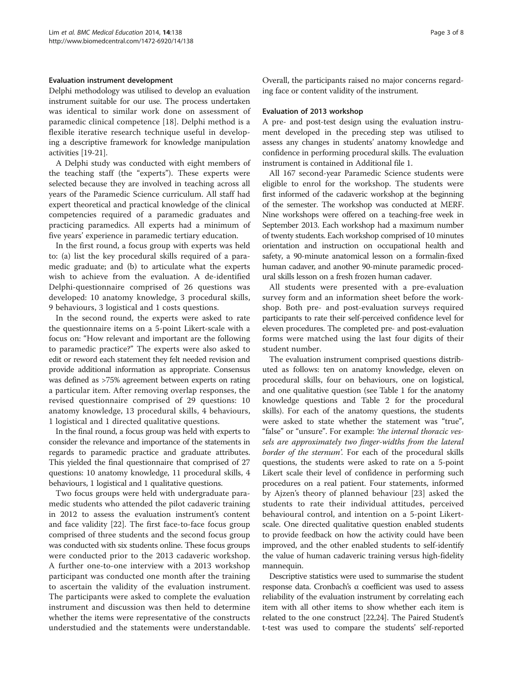#### Evaluation instrument development

Delphi methodology was utilised to develop an evaluation instrument suitable for our use. The process undertaken was identical to similar work done on assessment of paramedic clinical competence [[18](#page-6-0)]. Delphi method is a flexible iterative research technique useful in developing a descriptive framework for knowledge manipulation activities [\[19-21\]](#page-6-0).

A Delphi study was conducted with eight members of the teaching staff (the "experts"). These experts were selected because they are involved in teaching across all years of the Paramedic Science curriculum. All staff had expert theoretical and practical knowledge of the clinical competencies required of a paramedic graduates and practicing paramedics. All experts had a minimum of five years' experience in paramedic tertiary education.

In the first round, a focus group with experts was held to: (a) list the key procedural skills required of a paramedic graduate; and (b) to articulate what the experts wish to achieve from the evaluation. A de-identified Delphi-questionnaire comprised of 26 questions was developed: 10 anatomy knowledge, 3 procedural skills, 9 behaviours, 3 logistical and 1 costs questions.

In the second round, the experts were asked to rate the questionnaire items on a 5-point Likert-scale with a focus on: "How relevant and important are the following to paramedic practice?" The experts were also asked to edit or reword each statement they felt needed revision and provide additional information as appropriate. Consensus was defined as >75% agreement between experts on rating a particular item. After removing overlap responses, the revised questionnaire comprised of 29 questions: 10 anatomy knowledge, 13 procedural skills, 4 behaviours, 1 logistical and 1 directed qualitative questions.

In the final round, a focus group was held with experts to consider the relevance and importance of the statements in regards to paramedic practice and graduate attributes. This yielded the final questionnaire that comprised of 27 questions: 10 anatomy knowledge, 11 procedural skills, 4 behaviours, 1 logistical and 1 qualitative questions.

Two focus groups were held with undergraduate paramedic students who attended the pilot cadaveric training in 2012 to assess the evaluation instrument's content and face validity [[22](#page-6-0)]. The first face-to-face focus group comprised of three students and the second focus group was conducted with six students online. These focus groups were conducted prior to the 2013 cadaveric workshop. A further one-to-one interview with a 2013 workshop participant was conducted one month after the training to ascertain the validity of the evaluation instrument. The participants were asked to complete the evaluation instrument and discussion was then held to determine whether the items were representative of the constructs understudied and the statements were understandable.

Overall, the participants raised no major concerns regarding face or content validity of the instrument.

#### Evaluation of 2013 workshop

A pre- and post-test design using the evaluation instrument developed in the preceding step was utilised to assess any changes in students' anatomy knowledge and confidence in performing procedural skills. The evaluation instrument is contained in Additional file [1](#page-6-0).

All 167 second-year Paramedic Science students were eligible to enrol for the workshop. The students were first informed of the cadaveric workshop at the beginning of the semester. The workshop was conducted at MERF. Nine workshops were offered on a teaching-free week in September 2013. Each workshop had a maximum number of twenty students. Each workshop comprised of 10 minutes orientation and instruction on occupational health and safety, a 90-minute anatomical lesson on a formalin-fixed human cadaver, and another 90-minute paramedic procedural skills lesson on a fresh frozen human cadaver.

All students were presented with a pre-evaluation survey form and an information sheet before the workshop. Both pre- and post-evaluation surveys required participants to rate their self-perceived confidence level for eleven procedures. The completed pre- and post-evaluation forms were matched using the last four digits of their student number.

The evaluation instrument comprised questions distributed as follows: ten on anatomy knowledge, eleven on procedural skills, four on behaviours, one on logistical, and one qualitative question (see Table [1](#page-3-0) for the anatomy knowledge questions and Table [2](#page-3-0) for the procedural skills). For each of the anatomy questions, the students were asked to state whether the statement was "true", "false" or "unsure". For example: 'the internal thoracic vessels are approximately two finger-widths from the lateral border of the sternum'. For each of the procedural skills questions, the students were asked to rate on a 5-point Likert scale their level of confidence in performing such procedures on a real patient. Four statements, informed by Ajzen's theory of planned behaviour [[23\]](#page-7-0) asked the students to rate their individual attitudes, perceived behavioural control, and intention on a 5-point Likertscale. One directed qualitative question enabled students to provide feedback on how the activity could have been improved, and the other enabled students to self-identify the value of human cadaveric training versus high-fidelity mannequin.

Descriptive statistics were used to summarise the student response data. Cronbach's α coefficient was used to assess reliability of the evaluation instrument by correlating each item with all other items to show whether each item is related to the one construct [[22](#page-6-0),[24](#page-7-0)]. The Paired Student's t-test was used to compare the students' self-reported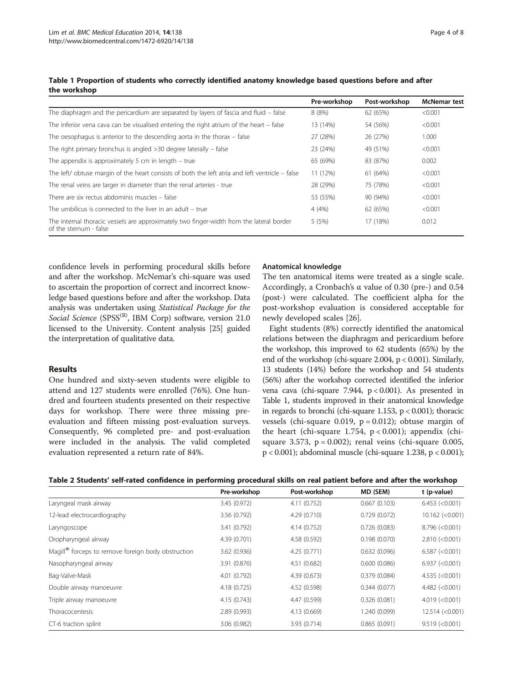|                                                                                                                    | Pre-workshop | Post-workshop | <b>McNemar test</b> |
|--------------------------------------------------------------------------------------------------------------------|--------------|---------------|---------------------|
| The diaphragm and the pericardium are separated by layers of fascia and fluid – false                              | 8(8%)        | 62 (65%)      | < 0.001             |
| The inferior vena cava can be visualised entering the right atrium of the heart – false                            | 13 (14%)     | 54 (56%)      | < 0.001             |
| The oesophagus is anterior to the descending aorta in the thorax $-$ false                                         | 27 (28%)     | 26 (27%)      | 1.000               |
| The right primary bronchus is angled $>$ 30 degree laterally – false                                               | 23 (24%)     | 49 (51%)      | < 0.001             |
| The appendix is approximately 5 cm in length $-$ true                                                              | 65 (69%)     | 83 (87%)      | 0.002               |
| The left/obtuse margin of the heart consists of both the left atria and left ventricle – false                     | 11 (12%)     | 61 (64%)      | < 0.001             |
| The renal veins are larger in diameter than the renal arteries - true                                              | 28 (29%)     | 75 (78%)      | < 0.001             |
| There are six rectus abdominis muscles - false                                                                     | 53 (55%)     | 90 (94%)      | < 0.001             |
| The umbilicus is connected to the liver in an adult – true                                                         | 4(4%)        | 62 (65%)      | < 0.001             |
| The internal thoracic vessels are approximately two finger-width from the lateral border<br>of the sternum - false | 5(5%)        | 17 (18%)      | 0.012               |

#### <span id="page-3-0"></span>Table 1 Proportion of students who correctly identified anatomy knowledge based questions before and after the workshop

confidence levels in performing procedural skills before and after the workshop. McNemar's chi-square was used to ascertain the proportion of correct and incorrect knowledge based questions before and after the workshop. Data analysis was undertaken using Statistical Package for the Social Science (SPSS<sup>(R)</sup>, IBM Corp) software, version 21.0 licensed to the University. Content analysis [\[25\]](#page-7-0) guided the interpretation of qualitative data.

#### Results

One hundred and sixty-seven students were eligible to attend and 127 students were enrolled (76%). One hundred and fourteen students presented on their respective days for workshop. There were three missing preevaluation and fifteen missing post-evaluation surveys. Consequently, 96 completed pre- and post-evaluation were included in the analysis. The valid completed evaluation represented a return rate of 84%.

#### Anatomical knowledge

The ten anatomical items were treated as a single scale. Accordingly, a Cronbach's  $\alpha$  value of 0.30 (pre-) and 0.54 (post-) were calculated. The coefficient alpha for the post-workshop evaluation is considered acceptable for newly developed scales [[26\]](#page-7-0).

Eight students (8%) correctly identified the anatomical relations between the diaphragm and pericardium before the workshop, this improved to 62 students (65%) by the end of the workshop (chi-square 2.004, p < 0.001). Similarly, 13 students (14%) before the workshop and 54 students (56%) after the workshop corrected identified the inferior vena cava (chi-square 7.944, p < 0.001). As presented in Table 1, students improved in their anatomical knowledge in regards to bronchi (chi-square 1.153,  $p < 0.001$ ); thoracic vessels (chi-square 0.019,  $p = 0.012$ ); obtuse margin of the heart (chi-square 1.754,  $p < 0.001$ ); appendix (chisquare 3.573,  $p = 0.002$ ; renal veins (chi-square 0.005, p < 0.001); abdominal muscle (chi-square 1.238, p < 0.001);

|  |  |  |  | Table 2 Students' self-rated confidence in performing procedural skills on real patient before and after the workshop |
|--|--|--|--|-----------------------------------------------------------------------------------------------------------------------|
|--|--|--|--|-----------------------------------------------------------------------------------------------------------------------|

|                                                                | Pre-workshop | Post-workshop | MD (SEM)      | t (p-value)          |
|----------------------------------------------------------------|--------------|---------------|---------------|----------------------|
| Laryngeal mask airway                                          | 3.45 (0.972) | 4.11(0.752)   | 0.667(0.103)  | $6.453$ (< $0.001$ ) |
| 12-lead electrocardiography                                    | 3.56 (0.792) | 4.29 (0.710)  | 0.729(0.072)  | $10.162$ (<0.001)    |
| Laryngoscope                                                   | 3.41 (0.792) | 4.14(0.752)   | 0.726(0.083)  | $8.796$ (<0.001)     |
| Oropharyngeal airway                                           | 4.39 (0.701) | 4.58 (0.592)  | 0.198(0.070)  | 2.810 (< 0.001)      |
| Magill <sup>®</sup> forceps to remove foreign body obstruction | 3.62 (0.936) | 4.25 (0.771)  | 0.632(0.096)  | 6.587 (< 0.001)      |
| Nasopharyngeal airway                                          | 3.91 (0.876) | 4.51 (0.682)  | 0.600(0.086)  | $6.937$ (< $0.001$ ) |
| Bag-Valve-Mask                                                 | 4.01 (0.792) | 4.39 (0.673)  | 0.379(0.084)  | $4.535$ (<0.001)     |
| Double airway manoeuvre                                        | 4.18 (0.725) | 4.52 (0.598)  | 0.344(0.077)  | $4.482$ (< $0.001$ ) |
| Triple airway manoeuvre                                        | 4.15(0.743)  | 4.47 (0.599)  | 0.326(0.081)  | $4.019$ (< $0.001$ ) |
| Thoracocentesis                                                | 2.89 (0.993) | 4.13 (0.669)  | 1.240 (0.099) | 12.514 (< 0.001)     |
| CT-6 traction splint                                           | 3.06 (0.982) | 3.93 (0.714)  | 0.865(0.091)  | $9.519$ (< $0.001$ ) |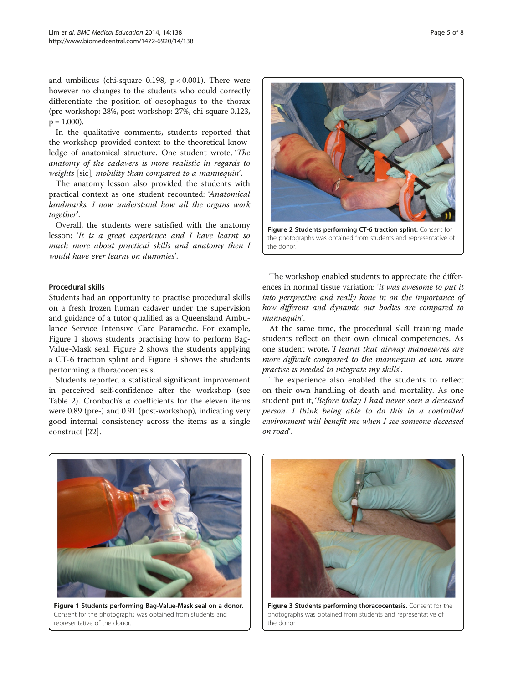and umbilicus (chi-square 0.198,  $p < 0.001$ ). There were however no changes to the students who could correctly differentiate the position of oesophagus to the thorax (pre-workshop: 28%, post-workshop: 27%, chi-square 0.123,  $p = 1.000$ ).

In the qualitative comments, students reported that the workshop provided context to the theoretical knowledge of anatomical structure. One student wrote, 'The anatomy of the cadavers is more realistic in regards to weights [sic], mobility than compared to a mannequin'.

The anatomy lesson also provided the students with practical context as one student recounted: 'Anatomical landmarks. I now understand how all the organs work together'.

Overall, the students were satisfied with the anatomy lesson: 'It is a great experience and I have learnt so much more about practical skills and anatomy then I would have ever learnt on dummies'.

#### Procedural skills

Students had an opportunity to practise procedural skills on a fresh frozen human cadaver under the supervision and guidance of a tutor qualified as a Queensland Ambulance Service Intensive Care Paramedic. For example, Figure 1 shows students practising how to perform Bag-Value-Mask seal. Figure 2 shows the students applying a CT-6 traction splint and Figure 3 shows the students performing a thoracocentesis.

Students reported a statistical significant improvement in perceived self-confidence after the workshop (see Table [2\)](#page-3-0). Cronbach's α coefficients for the eleven items were 0.89 (pre-) and 0.91 (post-workshop), indicating very good internal consistency across the items as a single construct [\[22](#page-6-0)].



the photographs was obtained from students and representative of the donor.

The workshop enabled students to appreciate the differences in normal tissue variation: 'it was awesome to put it into perspective and really hone in on the importance of how different and dynamic our bodies are compared to mannequin'.

At the same time, the procedural skill training made students reflect on their own clinical competencies. As one student wrote, 'I learnt that airway manoeuvres are more difficult compared to the mannequin at uni, more practise is needed to integrate my skills'.

The experience also enabled the students to reflect on their own handling of death and mortality. As one student put it, 'Before today I had never seen a deceased person. I think being able to do this in a controlled environment will benefit me when I see someone deceased on road'.



Figure 1 Students performing Bag-Value-Mask seal on a donor. Consent for the photographs was obtained from students and representative of the donor.



Figure 3 Students performing thoracocentesis. Consent for the photographs was obtained from students and representative of the donor.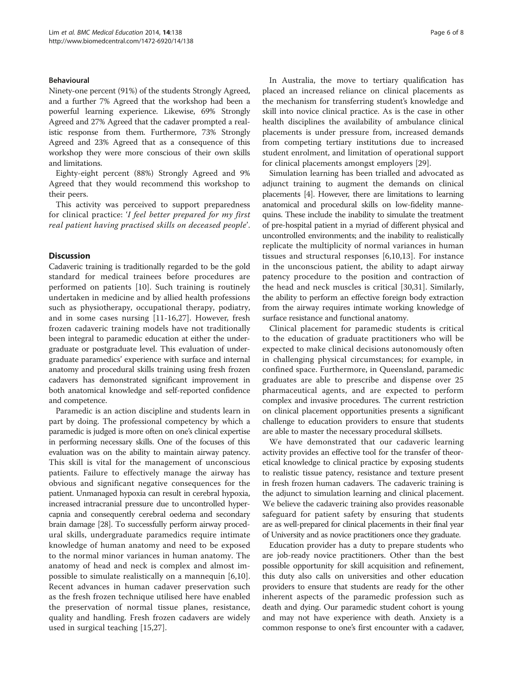#### **Behavioural**

Ninety-one percent (91%) of the students Strongly Agreed, and a further 7% Agreed that the workshop had been a powerful learning experience. Likewise, 69% Strongly Agreed and 27% Agreed that the cadaver prompted a realistic response from them. Furthermore, 73% Strongly Agreed and 23% Agreed that as a consequence of this workshop they were more conscious of their own skills and limitations.

Eighty-eight percent (88%) Strongly Agreed and 9% Agreed that they would recommend this workshop to their peers.

This activity was perceived to support preparedness for clinical practice: 'I feel better prepared for my first real patient having practised skills on deceased people'.

# **Discussion**

Cadaveric training is traditionally regarded to be the gold standard for medical trainees before procedures are performed on patients [\[10](#page-6-0)]. Such training is routinely undertaken in medicine and by allied health professions such as physiotherapy, occupational therapy, podiatry, and in some cases nursing [[11-16,](#page-6-0)[27\]](#page-7-0). However, fresh frozen cadaveric training models have not traditionally been integral to paramedic education at either the undergraduate or postgraduate level. This evaluation of undergraduate paramedics' experience with surface and internal anatomy and procedural skills training using fresh frozen cadavers has demonstrated significant improvement in both anatomical knowledge and self-reported confidence and competence.

Paramedic is an action discipline and students learn in part by doing. The professional competency by which a paramedic is judged is more often on one's clinical expertise in performing necessary skills. One of the focuses of this evaluation was on the ability to maintain airway patency. This skill is vital for the management of unconscious patients. Failure to effectively manage the airway has obvious and significant negative consequences for the patient. Unmanaged hypoxia can result in cerebral hypoxia, increased intracranial pressure due to uncontrolled hypercapnia and consequently cerebral oedema and secondary brain damage [\[28\]](#page-7-0). To successfully perform airway procedural skills, undergraduate paramedics require intimate knowledge of human anatomy and need to be exposed to the normal minor variances in human anatomy. The anatomy of head and neck is complex and almost impossible to simulate realistically on a mannequin [[6,10](#page-6-0)]. Recent advances in human cadaver preservation such as the fresh frozen technique utilised here have enabled the preservation of normal tissue planes, resistance, quality and handling. Fresh frozen cadavers are widely used in surgical teaching [[15](#page-6-0)[,27](#page-7-0)].

In Australia, the move to tertiary qualification has placed an increased reliance on clinical placements as the mechanism for transferring student's knowledge and skill into novice clinical practice. As is the case in other health disciplines the availability of ambulance clinical placements is under pressure from, increased demands from competing tertiary institutions due to increased student enrolment, and limitation of operational support for clinical placements amongst employers [[29](#page-7-0)].

Simulation learning has been trialled and advocated as adjunct training to augment the demands on clinical placements [\[4](#page-6-0)]. However, there are limitations to learning anatomical and procedural skills on low-fidelity mannequins. These include the inability to simulate the treatment of pre-hospital patient in a myriad of different physical and uncontrolled environments; and the inability to realistically replicate the multiplicity of normal variances in human tissues and structural responses [\[6](#page-6-0),[10,13\]](#page-6-0). For instance in the unconscious patient, the ability to adapt airway patency procedure to the position and contraction of the head and neck muscles is critical [\[30](#page-7-0),[31\]](#page-7-0). Similarly, the ability to perform an effective foreign body extraction from the airway requires intimate working knowledge of surface resistance and functional anatomy.

Clinical placement for paramedic students is critical to the education of graduate practitioners who will be expected to make clinical decisions autonomously often in challenging physical circumstances; for example, in confined space. Furthermore, in Queensland, paramedic graduates are able to prescribe and dispense over 25 pharmaceutical agents, and are expected to perform complex and invasive procedures. The current restriction on clinical placement opportunities presents a significant challenge to education providers to ensure that students are able to master the necessary procedural skillsets.

We have demonstrated that our cadaveric learning activity provides an effective tool for the transfer of theoretical knowledge to clinical practice by exposing students to realistic tissue patency, resistance and texture present in fresh frozen human cadavers. The cadaveric training is the adjunct to simulation learning and clinical placement. We believe the cadaveric training also provides reasonable safeguard for patient safety by ensuring that students are as well-prepared for clinical placements in their final year of University and as novice practitioners once they graduate.

Education provider has a duty to prepare students who are job-ready novice practitioners. Other than the best possible opportunity for skill acquisition and refinement, this duty also calls on universities and other education providers to ensure that students are ready for the other inherent aspects of the paramedic profession such as death and dying. Our paramedic student cohort is young and may not have experience with death. Anxiety is a common response to one's first encounter with a cadaver,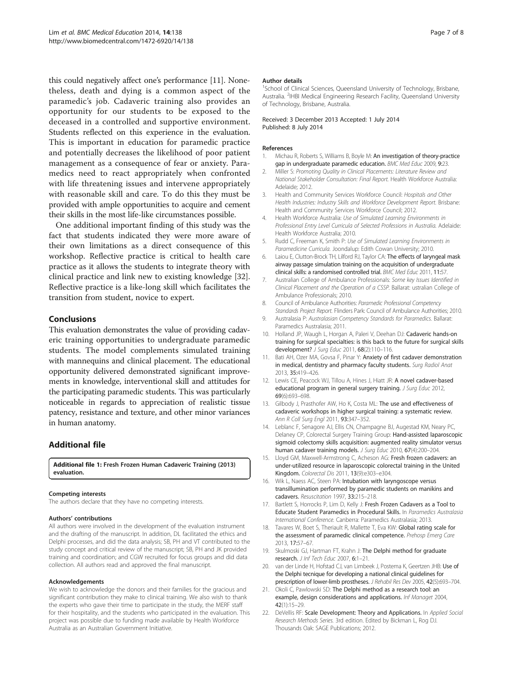<span id="page-6-0"></span>this could negatively affect one's performance [11]. Nonetheless, death and dying is a common aspect of the paramedic's job. Cadaveric training also provides an opportunity for our students to be exposed to the deceased in a controlled and supportive environment. Students reflected on this experience in the evaluation. This is important in education for paramedic practice and potentially decreases the likelihood of poor patient management as a consequence of fear or anxiety. Paramedics need to react appropriately when confronted with life threatening issues and intervene appropriately with reasonable skill and care. To do this they must be provided with ample opportunities to acquire and cement their skills in the most life-like circumstances possible.

One additional important finding of this study was the fact that students indicated they were more aware of their own limitations as a direct consequence of this workshop. Reflective practice is critical to health care practice as it allows the students to integrate theory with clinical practice and link new to existing knowledge [\[32](#page-7-0)]. Reflective practice is a like-long skill which facilitates the transition from student, novice to expert.

# Conclusions

This evaluation demonstrates the value of providing cadaveric training opportunities to undergraduate paramedic students. The model complements simulated training with mannequins and clinical placement. The educational opportunity delivered demonstrated significant improvements in knowledge, interventional skill and attitudes for the participating paramedic students. This was particularly noticeable in regards to appreciation of realistic tissue patency, resistance and texture, and other minor variances in human anatomy.

# Additional file

[Additional file 1:](http://www.biomedcentral.com/content/supplementary/1472-6920-14-138-S1.docx) Fresh Frozen Human Cadaveric Training (2013) evaluation.

#### Competing interests

The authors declare that they have no competing interests.

#### Authors' contributions

All authors were involved in the development of the evaluation instrument and the drafting of the manuscript. In addition, DL facilitated the ethics and Delphi processes, and did the data analysis; SB, PH and VT contributed to the study concept and critical review of the manuscript; SB, PH and JK provided training and coordination; and CGW recruited for focus groups and did data collection. All authors read and approved the final manuscript.

#### Acknowledgements

We wish to acknowledge the donors and their families for the gracious and significant contribution they make to clinical training. We also wish to thank the experts who gave their time to participate in the study, the MERF staff for their hospitality, and the students who participated in the evaluation. This project was possible due to funding made available by Health Workforce Australia as an Australian Government Initiative.

#### Author details

<sup>1</sup>School of Clinical Sciences, Queensland University of Technology, Brisbane, Australia. <sup>2</sup>IHBI Medical Engineering Research Facility, Queensland University of Technology, Brisbane, Australia.

#### Received: 3 December 2013 Accepted: 1 July 2014 Published: 8 July 2014

#### References

- 1. Michau R, Roberts S, Williams B, Boyle M: An investigation of theory-practice gap in undergraduate paramedic education. BMC Med Educ 2009, 9:23.
- 2. Miller S: Promoting Quality in Clinical Placements: Literature Review and National Stakeholder Consultation: Final Report. Health Workforce Australia: Adelaide; 2012.
- 3. Health and Community Services Workforce Council: Hospitals and Other Health Industries: Industry Skills and Workforce Development Report. Brisbane: Health and Community Services Workforce Council; 2012.
- 4. Health Workforce Australia: Use of Simulated Learning Environments in Professional Entry Level Curricula of Selected Professions in Australia. Adelaide: Health Workforce Australia; 2010.
- 5. Rudd C, Freeman K, Smith P: Use of Simulated Learning Environments in Paramedicine Curricula. Joondalup: Edith Cowan University; 2010.
- 6. Laiou E, Clutton-Brock TH, Lilford RJ, Taylor CA: The effects of laryngeal mask airway passage simulation training on the acquisition of undergraduate clinical skills: a randomised controlled trial. BMC Med Educ 2011, 11:57.
- 7. Australian College of Ambulance Professionals: Some key Issues Identified in Clinical Placement and the Operation of a CSSP. Ballarat: ustralian College of Ambulance Professionals; 2010.
- 8. Council of Ambulance Authorities: Paramedic Professional Competency Standards Project Report. Flinders Park: Council of Ambulance Authorities; 2010.
- 9. Australasia P: Australasian Competency Standards for Paramedics. Ballarat: Paramedics Australasia; 2011.
- 10. Holland JP, Waugh L, Horgan A, Paleri V, Deehan DJ: Cadaveric hands-on training for surgical specialties: is this back to the future for surgical skills development? J Surg Educ 2011, 68(2):110–116.
- 11. Bati AH, Ozer MA, Govsa F, Pinar Y: Anxiety of first cadaver demonstration in medical, dentistry and pharmacy faculty students. Surg Radiol Anat 2013, 35:419–426.
- 12. Lewis CE, Peacock WJ, Tillou A, Hines J, Hiatt JR: A novel cadaver-based educational program in general surgery training. J Surg Educ 2012, 69(6):693–698.
- 13. Gilbody J, Prasthofer AW, Ho K, Costa ML: The use and effectiveness of cadaveric workshops in higher surgical training: a systematic review. Ann R Coll Surg Engl 2011, 93:347–352.
- 14. Leblanc F, Senagore AJ, Ellis CN, Champagne BJ, Augestad KM, Neary PC, Delaney CP, Colorectal Surgery Training Group: Hand-assisted laparoscopic sigmoid colectomy skills acquisition: augmented reality simulator versus human cadaver training models. J Surg Educ 2010, 67(4):200–204.
- 15. Lloyd GM, Maxwell-Armstrong C, Acheson AG: Fresh frozen cadavers: an under-utilized resource in laparoscopic colorectal training in the United Kingdom. Colorectal Dis 2011, 13(9):e303–e304.
- 16. Wik L, Naess AC, Steen PA: Intubation with laryngoscope versus transillumination performed by paramedic students on manikins and cadavers. Resuscitation 1997, 33:215–218.
- 17. Bartlett S, Horrocks P, Lim D, Kelly J: Fresh Frozen Cadavers as a Tool to Educate Student Paramedics in Procedural Skills. In Paramedics Australasia International Conference. Canberra: Paramedics Australasia; 2013.
- 18. Tavares W, Boet S, Theriault R, Mallette T, Eva KW: Global rating scale for the assessment of paramedic clinical competence. Prehosp Emerg Care 2013, 17:57–67.
- 19. Skulmoski GJ, Hartman FT, Krahn J: The Delphi method for graduate research. J Inf Tech Educ 2007, 6:1–21.
- 20. van der Linde H, Hofstad CJ, van Limbeek J, Postema K, Geertzen JHB: Use of the Delphi tecnique for developing a national clinical guidelines for prescription of lower-limb prostheses. J Rehabil Res Dev 2005, 42(5):693–704.
- 21. Okoli C, Pawlowski SD: The Delphi method as a research tool: an example, design considerations and applications. Inf Managet 2004, 42(1):15–29.
- 22. DeVellis RF: Scale Development: Theory and Applications. In Applied Social Research Methods Series. 3rd edition. Edited by Bickman L, Rog DJ. Thousands Oak: SAGE Publications; 2012.